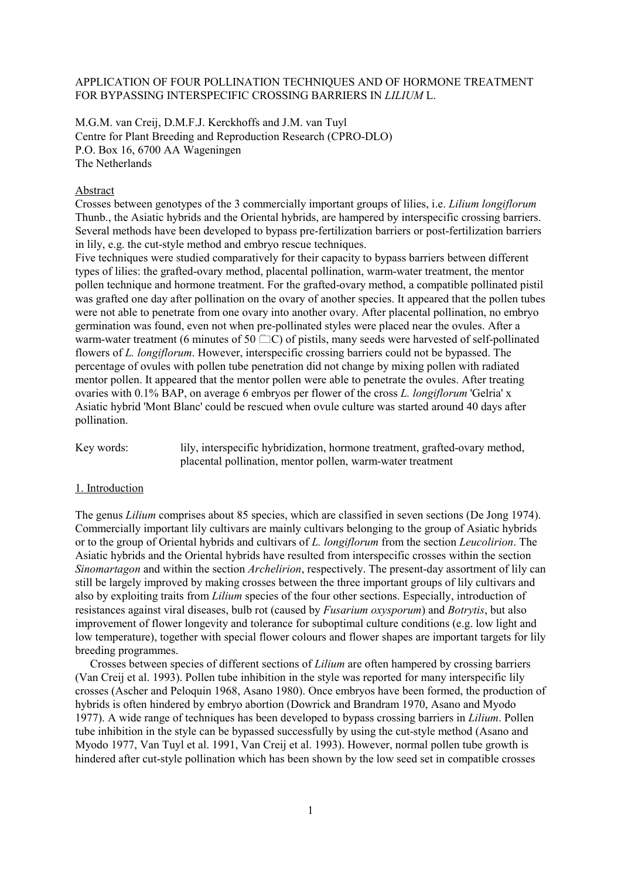## APPLICATION OF FOUR POLLINATION TECHNIQUES AND OF HORMONE TREATMENT FOR BYPASSING INTERSPECIFIC CROSSING BARRIERS IN *LILIUM* L.

M.G.M. van Creij, D.M.F.J. Kerckhoffs and J.M. van Tuyl Centre for Plant Breeding and Reproduction Research (CPRO-DLO) P.O. Box 16, 6700 AA Wageningen The Netherlands

#### Abstract

Crosses between genotypes of the 3 commercially important groups of lilies, i.e. *Lilium longiflorum* Thunb., the Asiatic hybrids and the Oriental hybrids, are hampered by interspecific crossing barriers. Several methods have been developed to bypass pre-fertilization barriers or post-fertilization barriers in lily, e.g. the cut-style method and embryo rescue techniques.

Five techniques were studied comparatively for their capacity to bypass barriers between different types of lilies: the grafted-ovary method, placental pollination, warm-water treatment, the mentor pollen technique and hormone treatment. For the grafted-ovary method, a compatible pollinated pistil was grafted one day after pollination on the ovary of another species. It appeared that the pollen tubes were not able to penetrate from one ovary into another ovary. After placental pollination, no embryo germination was found, even not when pre-pollinated styles were placed near the ovules. After a warm-water treatment (6 minutes of 50  $\Box$ C) of pistils, many seeds were harvested of self-pollinated flowers of *L. longiflorum*. However, interspecific crossing barriers could not be bypassed. The percentage of ovules with pollen tube penetration did not change by mixing pollen with radiated mentor pollen. It appeared that the mentor pollen were able to penetrate the ovules. After treating ovaries with 0.1% BAP, on average 6 embryos per flower of the cross *L. longiflorum* 'Gelria' x Asiatic hybrid 'Mont Blanc' could be rescued when ovule culture was started around 40 days after pollination.

Key words: lily, interspecific hybridization, hormone treatment, grafted-ovary method, placental pollination, mentor pollen, warm-water treatment

# 1. Introduction

The genus *Lilium* comprises about 85 species, which are classified in seven sections (De Jong 1974). Commercially important lily cultivars are mainly cultivars belonging to the group of Asiatic hybrids or to the group of Oriental hybrids and cultivars of *L. longiflorum* from the section *Leucolirion*. The Asiatic hybrids and the Oriental hybrids have resulted from interspecific crosses within the section *Sinomartagon* and within the section *Archelirion*, respectively. The present-day assortment of lily can still be largely improved by making crosses between the three important groups of lily cultivars and also by exploiting traits from *Lilium* species of the four other sections. Especially, introduction of resistances against viral diseases, bulb rot (caused by *Fusarium oxysporum*) and *Botrytis*, but also improvement of flower longevity and tolerance for suboptimal culture conditions (e.g. low light and low temperature), together with special flower colours and flower shapes are important targets for lily breeding programmes.

Crosses between species of different sections of *Lilium* are often hampered by crossing barriers (Van Creij et al. 1993). Pollen tube inhibition in the style was reported for many interspecific lily crosses (Ascher and Peloquin 1968, Asano 1980). Once embryos have been formed, the production of hybrids is often hindered by embryo abortion (Dowrick and Brandram 1970, Asano and Myodo 1977). A wide range of techniques has been developed to bypass crossing barriers in *Lilium*. Pollen tube inhibition in the style can be bypassed successfully by using the cut-style method (Asano and Myodo 1977, Van Tuyl et al. 1991, Van Creij et al. 1993). However, normal pollen tube growth is hindered after cut-style pollination which has been shown by the low seed set in compatible crosses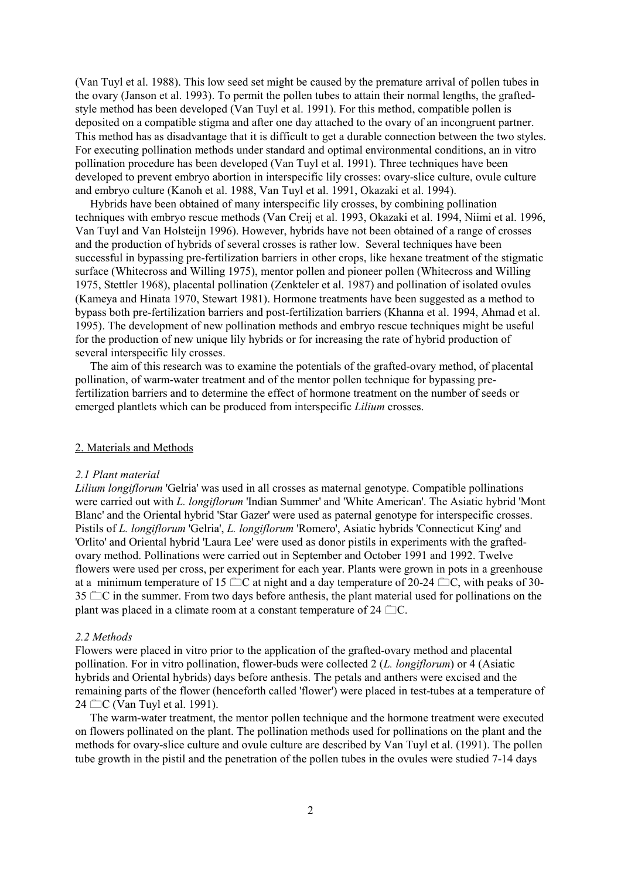(Van Tuyl et al. 1988). This low seed set might be caused by the premature arrival of pollen tubes in the ovary (Janson et al. 1993). To permit the pollen tubes to attain their normal lengths, the graftedstyle method has been developed (Van Tuyl et al. 1991). For this method, compatible pollen is deposited on a compatible stigma and after one day attached to the ovary of an incongruent partner. This method has as disadvantage that it is difficult to get a durable connection between the two styles. For executing pollination methods under standard and optimal environmental conditions, an in vitro pollination procedure has been developed (Van Tuyl et al. 1991). Three techniques have been developed to prevent embryo abortion in interspecific lily crosses: ovary-slice culture, ovule culture and embryo culture (Kanoh et al. 1988, Van Tuyl et al. 1991, Okazaki et al. 1994).

Hybrids have been obtained of many interspecific lily crosses, by combining pollination techniques with embryo rescue methods (Van Creij et al. 1993, Okazaki et al. 1994, Niimi et al. 1996, Van Tuyl and Van Holsteijn 1996). However, hybrids have not been obtained of a range of crosses and the production of hybrids of several crosses is rather low. Several techniques have been successful in bypassing pre-fertilization barriers in other crops, like hexane treatment of the stigmatic surface (Whitecross and Willing 1975), mentor pollen and pioneer pollen (Whitecross and Willing 1975, Stettler 1968), placental pollination (Zenkteler et al. 1987) and pollination of isolated ovules (Kameya and Hinata 1970, Stewart 1981). Hormone treatments have been suggested as a method to bypass both pre-fertilization barriers and post-fertilization barriers (Khanna et al. 1994, Ahmad et al. 1995). The development of new pollination methods and embryo rescue techniques might be useful for the production of new unique lily hybrids or for increasing the rate of hybrid production of several interspecific lily crosses.

The aim of this research was to examine the potentials of the grafted-ovary method, of placental pollination, of warm-water treatment and of the mentor pollen technique for bypassing prefertilization barriers and to determine the effect of hormone treatment on the number of seeds or emerged plantlets which can be produced from interspecific *Lilium* crosses.

#### 2. Materials and Methods

#### *2.1 Plant material*

*Lilium longiflorum* 'Gelria' was used in all crosses as maternal genotype. Compatible pollinations were carried out with *L. longiflorum* 'Indian Summer' and 'White American'. The Asiatic hybrid 'Mont Blanc' and the Oriental hybrid 'Star Gazer' were used as paternal genotype for interspecific crosses. Pistils of *L. longiflorum* 'Gelria', *L. longiflorum* 'Romero', Asiatic hybrids 'Connecticut King' and 'Orlito' and Oriental hybrid 'Laura Lee' were used as donor pistils in experiments with the graftedovary method. Pollinations were carried out in September and October 1991 and 1992. Twelve flowers were used per cross, per experiment for each year. Plants were grown in pots in a greenhouse at a minimum temperature of 15  $\Box$ C at night and a day temperature of 20-24  $\Box$ C, with peaks of 30- $35 \nightharpoonup \nightharpoonup C$  in the summer. From two days before anthesis, the plant material used for pollinations on the plant was placed in a climate room at a constant temperature of  $24 \text{ }^{\circ}$ C.

#### *2.2 Methods*

Flowers were placed in vitro prior to the application of the grafted-ovary method and placental pollination. For in vitro pollination, flower-buds were collected 2 (*L. longiflorum*) or 4 (Asiatic hybrids and Oriental hybrids) days before anthesis. The petals and anthers were excised and the remaining parts of the flower (henceforth called 'flower') were placed in test-tubes at a temperature of  $24 \Box$ C (Van Tuyl et al. 1991).

The warm-water treatment, the mentor pollen technique and the hormone treatment were executed on flowers pollinated on the plant. The pollination methods used for pollinations on the plant and the methods for ovary-slice culture and ovule culture are described by Van Tuyl et al. (1991). The pollen tube growth in the pistil and the penetration of the pollen tubes in the ovules were studied 7-14 days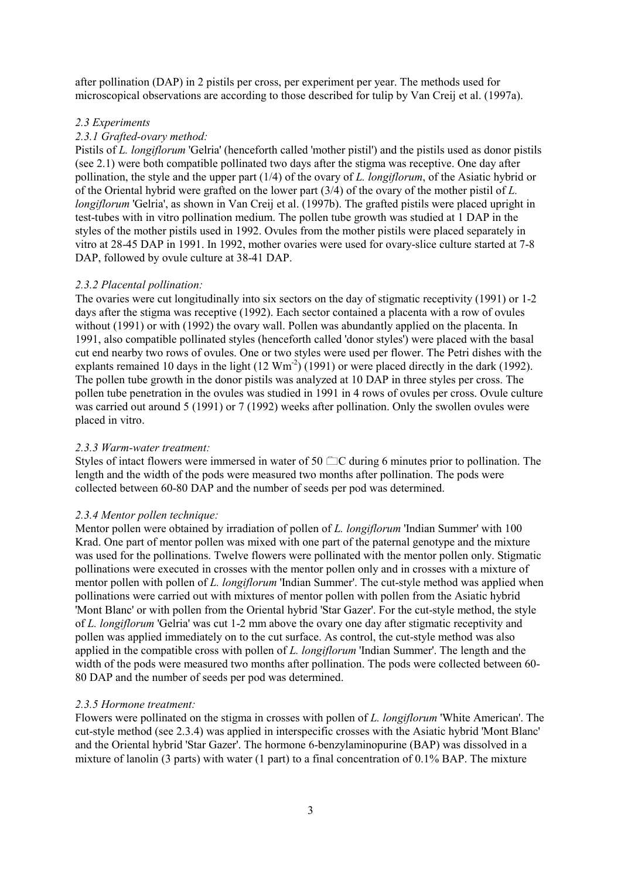after pollination (DAP) in 2 pistils per cross, per experiment per year. The methods used for microscopical observations are according to those described for tulip by Van Creij et al. (1997a).

### *2.3 Experiments*

## *2.3.1 Grafted-ovary method:*

Pistils of *L. longiflorum* 'Gelria' (henceforth called 'mother pistil') and the pistils used as donor pistils (see 2.1) were both compatible pollinated two days after the stigma was receptive. One day after pollination, the style and the upper part (1/4) of the ovary of *L. longiflorum*, of the Asiatic hybrid or of the Oriental hybrid were grafted on the lower part (3/4) of the ovary of the mother pistil of *L. longiflorum* 'Gelria', as shown in Van Creij et al. (1997b). The grafted pistils were placed upright in test-tubes with in vitro pollination medium. The pollen tube growth was studied at 1 DAP in the styles of the mother pistils used in 1992. Ovules from the mother pistils were placed separately in vitro at 28-45 DAP in 1991. In 1992, mother ovaries were used for ovary-slice culture started at 7-8 DAP, followed by ovule culture at 38-41 DAP.

### *2.3.2 Placental pollination:*

The ovaries were cut longitudinally into six sectors on the day of stigmatic receptivity (1991) or 1-2 days after the stigma was receptive (1992). Each sector contained a placenta with a row of ovules without (1991) or with (1992) the ovary wall. Pollen was abundantly applied on the placenta. In 1991, also compatible pollinated styles (henceforth called 'donor styles') were placed with the basal cut end nearby two rows of ovules. One or two styles were used per flower. The Petri dishes with the explants remained 10 days in the light  $(12 \text{ Wm}^2)(1991)$  or were placed directly in the dark (1992). The pollen tube growth in the donor pistils was analyzed at 10 DAP in three styles per cross. The pollen tube penetration in the ovules was studied in 1991 in 4 rows of ovules per cross. Ovule culture was carried out around 5 (1991) or 7 (1992) weeks after pollination. Only the swollen ovules were placed in vitro.

# *2.3.3 Warm-water treatment:*

Styles of intact flowers were immersed in water of 50  $\Box$ C during 6 minutes prior to pollination. The length and the width of the pods were measured two months after pollination. The pods were collected between 60-80 DAP and the number of seeds per pod was determined.

# *2.3.4 Mentor pollen technique:*

Mentor pollen were obtained by irradiation of pollen of *L. longiflorum* 'Indian Summer' with 100 Krad. One part of mentor pollen was mixed with one part of the paternal genotype and the mixture was used for the pollinations. Twelve flowers were pollinated with the mentor pollen only. Stigmatic pollinations were executed in crosses with the mentor pollen only and in crosses with a mixture of mentor pollen with pollen of *L. longiflorum* 'Indian Summer'. The cut-style method was applied when pollinations were carried out with mixtures of mentor pollen with pollen from the Asiatic hybrid 'Mont Blanc' or with pollen from the Oriental hybrid 'Star Gazer'. For the cut-style method, the style of *L. longiflorum* 'Gelria' was cut 1-2 mm above the ovary one day after stigmatic receptivity and pollen was applied immediately on to the cut surface. As control, the cut-style method was also applied in the compatible cross with pollen of *L. longiflorum* 'Indian Summer'. The length and the width of the pods were measured two months after pollination. The pods were collected between 60- 80 DAP and the number of seeds per pod was determined.

#### *2.3.5 Hormone treatment:*

Flowers were pollinated on the stigma in crosses with pollen of *L. longiflorum* 'White American'. The cut-style method (see 2.3.4) was applied in interspecific crosses with the Asiatic hybrid 'Mont Blanc' and the Oriental hybrid 'Star Gazer'. The hormone 6-benzylaminopurine (BAP) was dissolved in a mixture of lanolin (3 parts) with water (1 part) to a final concentration of 0.1% BAP. The mixture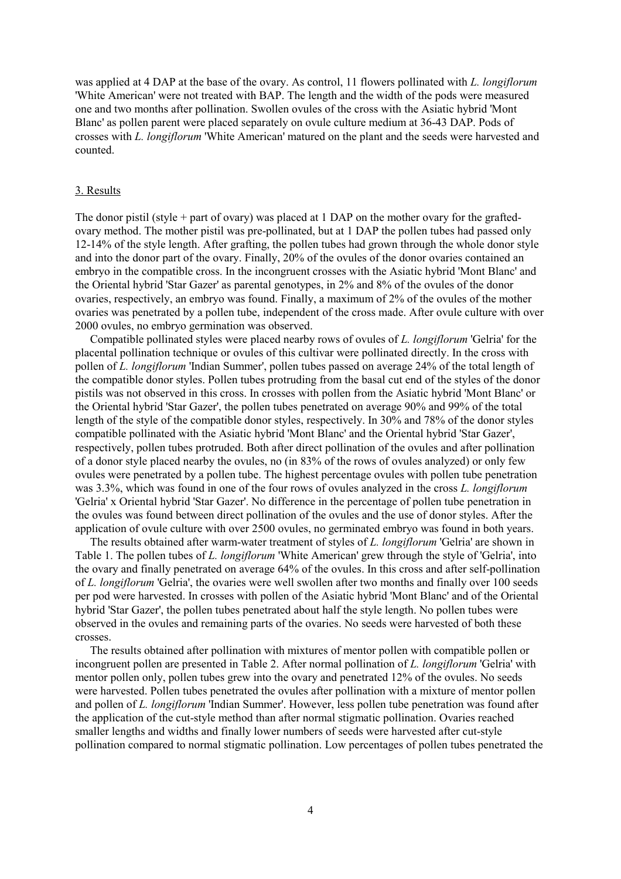was applied at 4 DAP at the base of the ovary. As control, 11 flowers pollinated with *L. longiflorum* 'White American' were not treated with BAP. The length and the width of the pods were measured one and two months after pollination. Swollen ovules of the cross with the Asiatic hybrid 'Mont Blanc' as pollen parent were placed separately on ovule culture medium at 36-43 DAP. Pods of crosses with *L. longiflorum* 'White American' matured on the plant and the seeds were harvested and counted.

#### 3. Results

The donor pistil (style + part of ovary) was placed at 1 DAP on the mother ovary for the graftedovary method. The mother pistil was pre-pollinated, but at 1 DAP the pollen tubes had passed only 12-14% of the style length. After grafting, the pollen tubes had grown through the whole donor style and into the donor part of the ovary. Finally, 20% of the ovules of the donor ovaries contained an embryo in the compatible cross. In the incongruent crosses with the Asiatic hybrid 'Mont Blanc' and the Oriental hybrid 'Star Gazer' as parental genotypes, in 2% and 8% of the ovules of the donor ovaries, respectively, an embryo was found. Finally, a maximum of 2% of the ovules of the mother ovaries was penetrated by a pollen tube, independent of the cross made. After ovule culture with over 2000 ovules, no embryo germination was observed.

Compatible pollinated styles were placed nearby rows of ovules of *L. longiflorum* 'Gelria' for the placental pollination technique or ovules of this cultivar were pollinated directly. In the cross with pollen of *L. longiflorum* 'Indian Summer', pollen tubes passed on average 24% of the total length of the compatible donor styles. Pollen tubes protruding from the basal cut end of the styles of the donor pistils was not observed in this cross. In crosses with pollen from the Asiatic hybrid 'Mont Blanc' or the Oriental hybrid 'Star Gazer', the pollen tubes penetrated on average 90% and 99% of the total length of the style of the compatible donor styles, respectively. In 30% and 78% of the donor styles compatible pollinated with the Asiatic hybrid 'Mont Blanc' and the Oriental hybrid 'Star Gazer', respectively, pollen tubes protruded. Both after direct pollination of the ovules and after pollination of a donor style placed nearby the ovules, no (in 83% of the rows of ovules analyzed) or only few ovules were penetrated by a pollen tube. The highest percentage ovules with pollen tube penetration was 3.3%, which was found in one of the four rows of ovules analyzed in the cross *L. longiflorum* 'Gelria' x Oriental hybrid 'Star Gazer'. No difference in the percentage of pollen tube penetration in the ovules was found between direct pollination of the ovules and the use of donor styles. After the application of ovule culture with over 2500 ovules, no germinated embryo was found in both years.

The results obtained after warm-water treatment of styles of *L. longiflorum* 'Gelria' are shown in Table 1. The pollen tubes of *L. longiflorum* 'White American' grew through the style of 'Gelria', into the ovary and finally penetrated on average 64% of the ovules. In this cross and after self-pollination of *L. longiflorum* 'Gelria', the ovaries were well swollen after two months and finally over 100 seeds per pod were harvested. In crosses with pollen of the Asiatic hybrid 'Mont Blanc' and of the Oriental hybrid 'Star Gazer', the pollen tubes penetrated about half the style length. No pollen tubes were observed in the ovules and remaining parts of the ovaries. No seeds were harvested of both these crosses.

The results obtained after pollination with mixtures of mentor pollen with compatible pollen or incongruent pollen are presented in Table 2. After normal pollination of *L. longiflorum* 'Gelria' with mentor pollen only, pollen tubes grew into the ovary and penetrated 12% of the ovules. No seeds were harvested. Pollen tubes penetrated the ovules after pollination with a mixture of mentor pollen and pollen of *L. longiflorum* 'Indian Summer'. However, less pollen tube penetration was found after the application of the cut-style method than after normal stigmatic pollination. Ovaries reached smaller lengths and widths and finally lower numbers of seeds were harvested after cut-style pollination compared to normal stigmatic pollination. Low percentages of pollen tubes penetrated the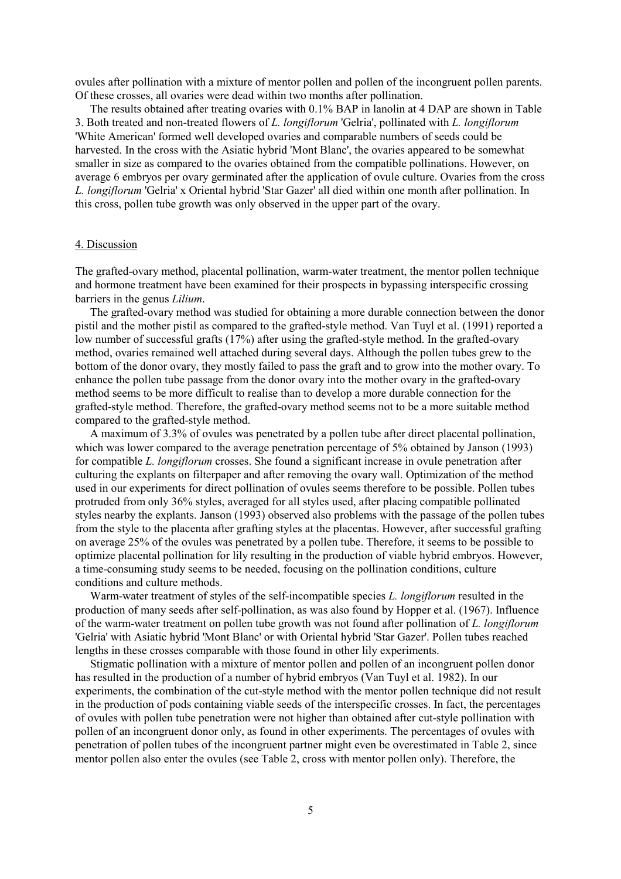ovules after pollination with a mixture of mentor pollen and pollen of the incongruent pollen parents. Of these crosses, all ovaries were dead within two months after pollination.

The results obtained after treating ovaries with 0.1% BAP in lanolin at 4 DAP are shown in Table 3. Both treated and non-treated flowers of *L. longiflorum* 'Gelria', pollinated with *L. longiflorum* 'White American' formed well developed ovaries and comparable numbers of seeds could be harvested. In the cross with the Asiatic hybrid 'Mont Blanc', the ovaries appeared to be somewhat smaller in size as compared to the ovaries obtained from the compatible pollinations. However, on average 6 embryos per ovary germinated after the application of ovule culture. Ovaries from the cross *L. longiflorum* 'Gelria' x Oriental hybrid 'Star Gazer' all died within one month after pollination. In this cross, pollen tube growth was only observed in the upper part of the ovary.

### 4. Discussion

The grafted-ovary method, placental pollination, warm-water treatment, the mentor pollen technique and hormone treatment have been examined for their prospects in bypassing interspecific crossing barriers in the genus *Lilium*.

The grafted-ovary method was studied for obtaining a more durable connection between the donor pistil and the mother pistil as compared to the grafted-style method. Van Tuyl et al. (1991) reported a low number of successful grafts  $(17%)$  after using the grafted-style method. In the grafted-ovary method, ovaries remained well attached during several days. Although the pollen tubes grew to the bottom of the donor ovary, they mostly failed to pass the graft and to grow into the mother ovary. To enhance the pollen tube passage from the donor ovary into the mother ovary in the grafted-ovary method seems to be more difficult to realise than to develop a more durable connection for the grafted-style method. Therefore, the grafted-ovary method seems not to be a more suitable method compared to the grafted-style method.

A maximum of 3.3% of ovules was penetrated by a pollen tube after direct placental pollination, which was lower compared to the average penetration percentage of 5% obtained by Janson (1993) for compatible *L. longiflorum* crosses. She found a significant increase in ovule penetration after culturing the explants on filterpaper and after removing the ovary wall. Optimization of the method used in our experiments for direct pollination of ovules seems therefore to be possible. Pollen tubes protruded from only 36% styles, averaged for all styles used, after placing compatible pollinated styles nearby the explants. Janson (1993) observed also problems with the passage of the pollen tubes from the style to the placenta after grafting styles at the placentas. However, after successful grafting on average 25% of the ovules was penetrated by a pollen tube. Therefore, it seems to be possible to optimize placental pollination for lily resulting in the production of viable hybrid embryos. However, a time-consuming study seems to be needed, focusing on the pollination conditions, culture conditions and culture methods.

Warm-water treatment of styles of the self-incompatible species *L. longiflorum* resulted in the production of many seeds after self-pollination, as was also found by Hopper et al. (1967). Influence of the warm-water treatment on pollen tube growth was not found after pollination of *L. longiflorum* 'Gelria' with Asiatic hybrid 'Mont Blanc' or with Oriental hybrid 'Star Gazer'. Pollen tubes reached lengths in these crosses comparable with those found in other lily experiments.

Stigmatic pollination with a mixture of mentor pollen and pollen of an incongruent pollen donor has resulted in the production of a number of hybrid embryos (Van Tuyl et al. 1982). In our experiments, the combination of the cut-style method with the mentor pollen technique did not result in the production of pods containing viable seeds of the interspecific crosses. In fact, the percentages of ovules with pollen tube penetration were not higher than obtained after cut-style pollination with pollen of an incongruent donor only, as found in other experiments. The percentages of ovules with penetration of pollen tubes of the incongruent partner might even be overestimated in Table 2, since mentor pollen also enter the ovules (see Table 2, cross with mentor pollen only). Therefore, the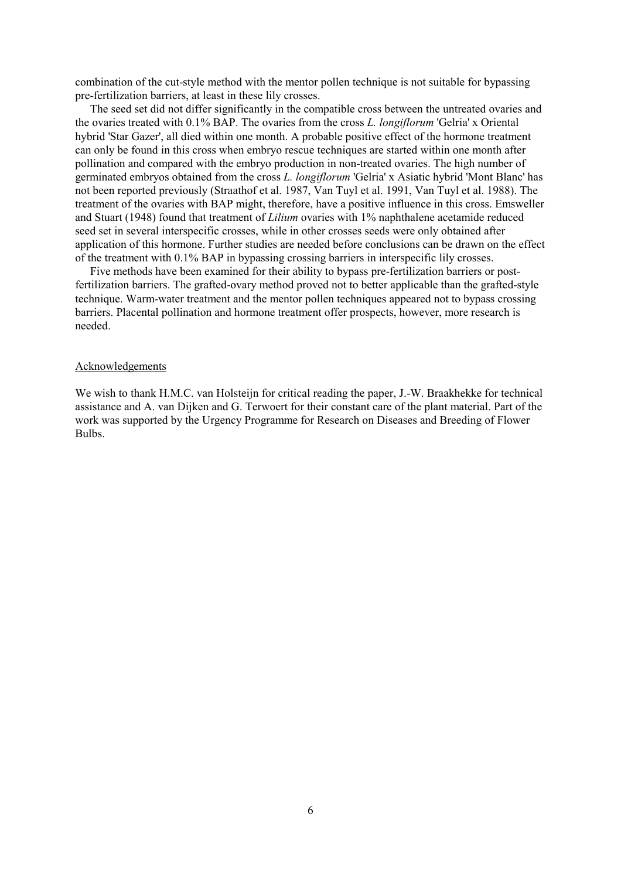combination of the cut-style method with the mentor pollen technique is not suitable for bypassing pre-fertilization barriers, at least in these lily crosses.

The seed set did not differ significantly in the compatible cross between the untreated ovaries and the ovaries treated with 0.1% BAP. The ovaries from the cross *L. longiflorum* 'Gelria' x Oriental hybrid 'Star Gazer', all died within one month. A probable positive effect of the hormone treatment can only be found in this cross when embryo rescue techniques are started within one month after pollination and compared with the embryo production in non-treated ovaries. The high number of germinated embryos obtained from the cross *L. longiflorum* 'Gelria' x Asiatic hybrid 'Mont Blanc' has not been reported previously (Straathof et al. 1987, Van Tuyl et al. 1991, Van Tuyl et al. 1988). The treatment of the ovaries with BAP might, therefore, have a positive influence in this cross. Emsweller and Stuart (1948) found that treatment of *Lilium* ovaries with 1% naphthalene acetamide reduced seed set in several interspecific crosses, while in other crosses seeds were only obtained after application of this hormone. Further studies are needed before conclusions can be drawn on the effect of the treatment with 0.1% BAP in bypassing crossing barriers in interspecific lily crosses.

Five methods have been examined for their ability to bypass pre-fertilization barriers or postfertilization barriers. The grafted-ovary method proved not to better applicable than the grafted-style technique. Warm-water treatment and the mentor pollen techniques appeared not to bypass crossing barriers. Placental pollination and hormone treatment offer prospects, however, more research is needed.

#### Acknowledgements

We wish to thank H.M.C. van Holsteijn for critical reading the paper, J.-W. Braakhekke for technical assistance and A. van Dijken and G. Terwoert for their constant care of the plant material. Part of the work was supported by the Urgency Programme for Research on Diseases and Breeding of Flower Bulbs.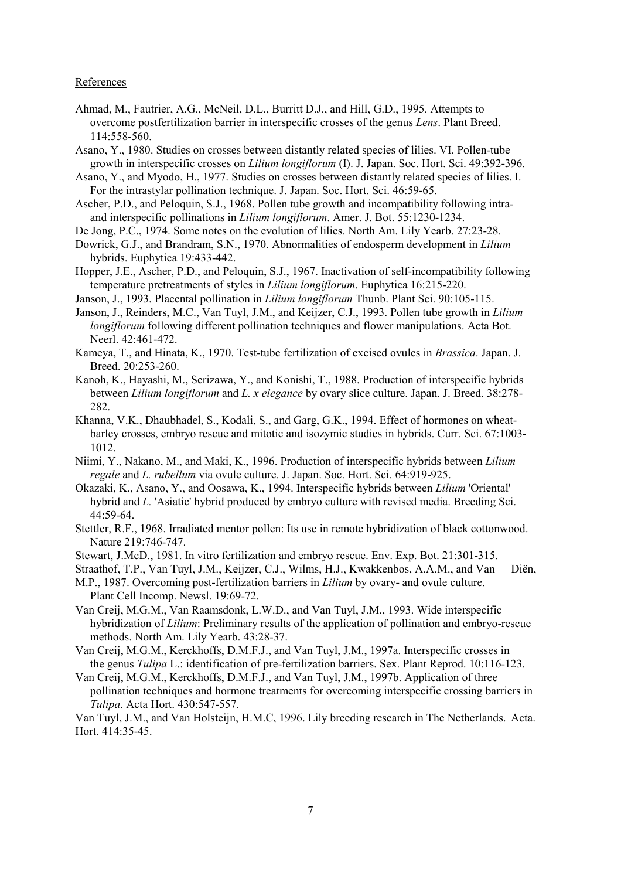#### **References**

- Ahmad, M., Fautrier, A.G., McNeil, D.L., Burritt D.J., and Hill, G.D., 1995. Attempts to overcome postfertilization barrier in interspecific crosses of the genus *Lens*. Plant Breed. 114:558-560.
- Asano, Y., 1980. Studies on crosses between distantly related species of lilies. VI. Pollen-tube growth in interspecific crosses on *Lilium longiflorum* (I). J. Japan. Soc. Hort. Sci. 49:392-396.
- Asano, Y., and Myodo, H., 1977. Studies on crosses between distantly related species of lilies. I. For the intrastylar pollination technique. J. Japan. Soc. Hort. Sci. 46:59-65.
- Ascher, P.D., and Peloquin, S.J., 1968. Pollen tube growth and incompatibility following intraand interspecific pollinations in *Lilium longiflorum*. Amer. J. Bot. 55:1230-1234.
- De Jong, P.C., 1974. Some notes on the evolution of lilies. North Am. Lily Yearb. 27:23-28.
- Dowrick, G.J., and Brandram, S.N., 1970. Abnormalities of endosperm development in *Lilium* hybrids. Euphytica 19:433-442.
- Hopper, J.E., Ascher, P.D., and Peloquin, S.J., 1967. Inactivation of self-incompatibility following temperature pretreatments of styles in *Lilium longiflorum*. Euphytica 16:215-220.
- Janson, J., 1993. Placental pollination in *Lilium longiflorum* Thunb. Plant Sci. 90:105-115.
- Janson, J., Reinders, M.C., Van Tuyl, J.M., and Keijzer, C.J., 1993. Pollen tube growth in *Lilium longiflorum* following different pollination techniques and flower manipulations. Acta Bot. Neerl. 42:461-472.
- Kameya, T., and Hinata, K., 1970. Test-tube fertilization of excised ovules in *Brassica*. Japan. J. Breed. 20:253-260.
- Kanoh, K., Hayashi, M., Serizawa, Y., and Konishi, T., 1988. Production of interspecific hybrids between *Lilium longiflorum* and *L. x elegance* by ovary slice culture. Japan. J. Breed. 38:278- 282.
- Khanna, V.K., Dhaubhadel, S., Kodali, S., and Garg, G.K., 1994. Effect of hormones on wheatbarley crosses, embryo rescue and mitotic and isozymic studies in hybrids. Curr. Sci. 67:1003- 1012.
- Niimi, Y., Nakano, M., and Maki, K., 1996. Production of interspecific hybrids between *Lilium regale* and *L. rubellum* via ovule culture. J. Japan. Soc. Hort. Sci. 64:919-925.
- Okazaki, K., Asano, Y., and Oosawa, K., 1994. Interspecific hybrids between *Lilium* 'Oriental' hybrid and *L.* 'Asiatic' hybrid produced by embryo culture with revised media. Breeding Sci. 44:59-64.
- Stettler, R.F., 1968. Irradiated mentor pollen: Its use in remote hybridization of black cottonwood. Nature 219:746-747.
- Stewart, J.McD., 1981. In vitro fertilization and embryo rescue. Env. Exp. Bot. 21:301-315.
- Straathof, T.P., Van Tuyl, J.M., Keijzer, C.J., Wilms, H.J., Kwakkenbos, A.A.M., and Van Diën,
- M.P., 1987. Overcoming post-fertilization barriers in *Lilium* by ovary- and ovule culture. Plant Cell Incomp. Newsl. 19:69-72.
- Van Creij, M.G.M., Van Raamsdonk, L.W.D., and Van Tuyl, J.M., 1993. Wide interspecific hybridization of *Lilium*: Preliminary results of the application of pollination and embryo-rescue methods. North Am. Lily Yearb. 43:28-37.
- Van Creij, M.G.M., Kerckhoffs, D.M.F.J., and Van Tuyl, J.M., 1997a. Interspecific crosses in the genus *Tulipa* L.: identification of pre-fertilization barriers. Sex. Plant Reprod. 10:116-123.
- Van Creij, M.G.M., Kerckhoffs, D.M.F.J., and Van Tuyl, J.M., 1997b. Application of three pollination techniques and hormone treatments for overcoming interspecific crossing barriers in *Tulipa*. Acta Hort. 430:547-557.

Van Tuyl, J.M., and Van Holsteijn, H.M.C, 1996. Lily breeding research in The Netherlands. Acta. Hort. 414:35-45.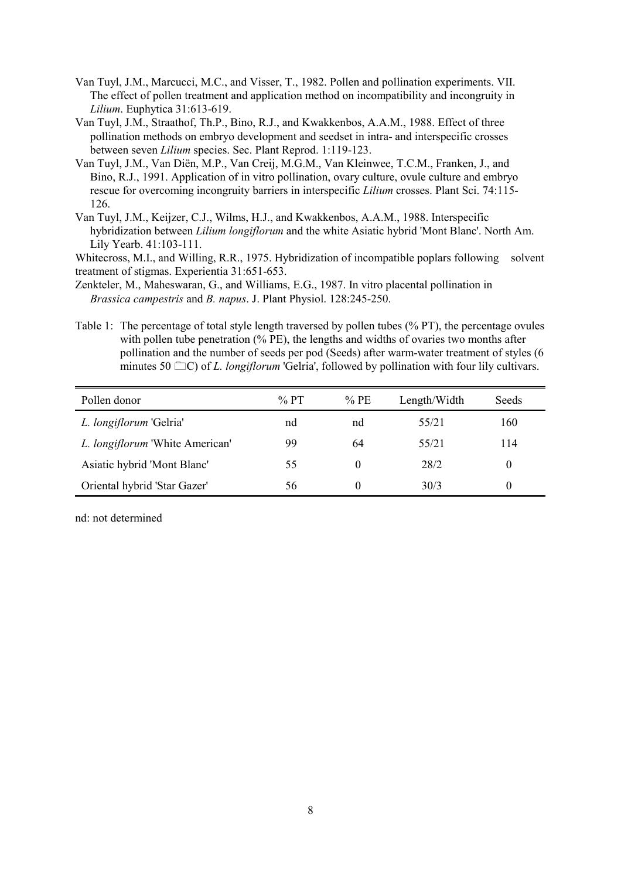- Van Tuyl, J.M., Marcucci, M.C., and Visser, T., 1982. Pollen and pollination experiments. VII. The effect of pollen treatment and application method on incompatibility and incongruity in *Lilium*. Euphytica 31:613-619.
- Van Tuyl, J.M., Straathof, Th.P., Bino, R.J., and Kwakkenbos, A.A.M., 1988. Effect of three pollination methods on embryo development and seedset in intra- and interspecific crosses between seven *Lilium* species. Sec. Plant Reprod. 1:119-123.
- Van Tuyl, J.M., Van Diën, M.P., Van Creij, M.G.M., Van Kleinwee, T.C.M., Franken, J., and Bino, R.J., 1991. Application of in vitro pollination, ovary culture, ovule culture and embryo rescue for overcoming incongruity barriers in interspecific *Lilium* crosses. Plant Sci. 74:115- 126.
- Van Tuyl, J.M., Keijzer, C.J., Wilms, H.J., and Kwakkenbos, A.A.M., 1988. Interspecific hybridization between *Lilium longiflorum* and the white Asiatic hybrid 'Mont Blanc'. North Am. Lily Yearb. 41:103-111.

Whitecross, M.I., and Willing, R.R., 1975. Hybridization of incompatible poplars following solvent treatment of stigmas. Experientia 31:651-653.

Zenkteler, M., Maheswaran, G., and Williams, E.G., 1987. In vitro placental pollination in *Brassica campestris* and *B. napus*. J. Plant Physiol. 128:245-250.

Table 1: The percentage of total style length traversed by pollen tubes (% PT), the percentage ovules with pollen tube penetration (% PE), the lengths and widths of ovaries two months after pollination and the number of seeds per pod (Seeds) after warm-water treatment of styles (6 minutes 50  $\Box$ C) of *L. longiflorum* 'Gelria', followed by pollination with four lily cultivars.

| Pollen donor                    | $\%$ PT | $%$ PE | Length/Width | <b>Seeds</b> |
|---------------------------------|---------|--------|--------------|--------------|
| L. longiflorum 'Gelria'         | nd      | nd     | 55/21        | 160          |
| L. longiflorum 'White American' | 99      | 64     | 55/21        | 114          |
| Asiatic hybrid 'Mont Blanc'     | 55      |        | 28/2         |              |
| Oriental hybrid 'Star Gazer'    | 56      |        | 30/3         |              |

nd: not determined